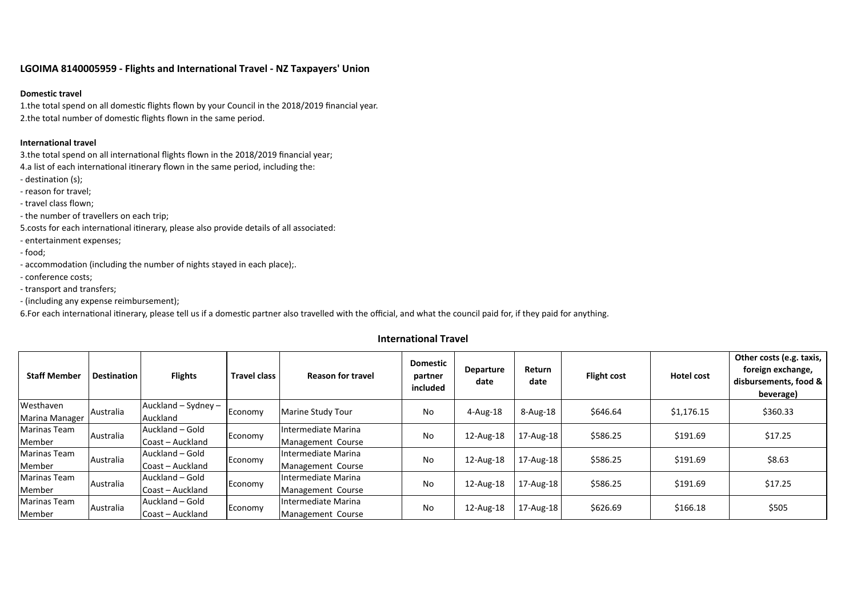# **LGOIMA 8140005959 ‐ Flights and International Travel ‐ NZ Taxpayers' Union**

### **Domestic travel**

1.the total spend on all domestic flights flown by your Council in the 2018/2019 financial year. 2.the total number of domestic flights flown in the same period.

## **International travel**

3.the total spend on all international flights flown in the 2018/2019 financial year;

4.a list of each international itinerary flown in the same period, including the:

- ‐ destination (s);
- ‐ reason for travel;
- ‐ travel class flown;

‐ the number of travellers on each trip;

5.costs for each international itinerary, please also provide details of all associated:

- ‐ entertainment expenses;
- ‐ food;
- ‐ accommodation (including the number of nights stayed in each place);.
- ‐ conference costs;
- ‐ transport and transfers;
- ‐ (including any expense reimbursement);

6.For each international itinerary, please tell us if a domestic partner also travelled with the official, and what the council paid for, if they paid for anything.

# **International Travel**

| <b>Staff Member</b>   | <b>Destination</b> | <b>Flights</b>      | <b>Travel class</b> | <b>Reason for travel</b> | <b>Domestic</b><br>partner<br>included | Departure<br>date | Return<br>date | <b>Flight cost</b> | Hotel cost | Other costs (e.g. taxis,<br>foreign exchange,<br>disbursements, food &<br>beverage) |
|-----------------------|--------------------|---------------------|---------------------|--------------------------|----------------------------------------|-------------------|----------------|--------------------|------------|-------------------------------------------------------------------------------------|
| Westhaven             | Australia          | Auckland - Sydney - | Economy             | Marine Study Tour        | No                                     | $4 - Aug-18$      | 8-Aug-18       | \$646.64           | \$1,176.15 | \$360.33                                                                            |
| <b>Marina Manager</b> |                    | Auckland            |                     |                          |                                        |                   |                |                    |            |                                                                                     |
| Marinas Team          | Australia          | Auckland - Gold     | Economy             | Intermediate Marina      | No                                     | 12-Aug-18         | 17-Aug-18      | \$586.25           | \$191.69   | \$17.25                                                                             |
| Member                |                    | Coast - Auckland    |                     | Management Course        |                                        |                   |                |                    |            |                                                                                     |
| Marinas Team          | Australia          | Auckland - Gold     | Economy             | Intermediate Marina      | No                                     | 12-Aug-18         | 17-Aug-18      | \$586.25           | \$191.69   | \$8.63                                                                              |
| Member                |                    | Coast - Auckland    |                     | Management Course        |                                        |                   |                |                    |            |                                                                                     |
| Marinas Team          | Australia          | Auckland – Gold     | Economy             | Intermediate Marina      | No                                     | 12-Aug-18         | 17-Aug-18      | \$586.25           | \$191.69   | \$17.25                                                                             |
| Member                |                    | Coast - Auckland    |                     | Management Course        |                                        |                   |                |                    |            |                                                                                     |
| Marinas Team          | Australia          | Auckland – Gold     | Economy             | Intermediate Marina      | No                                     | 12-Aug-18         | 17-Aug-18      | \$626.69           | \$166.18   | \$505                                                                               |
| Member                |                    | Coast - Auckland    |                     | Management Course        |                                        |                   |                |                    |            |                                                                                     |